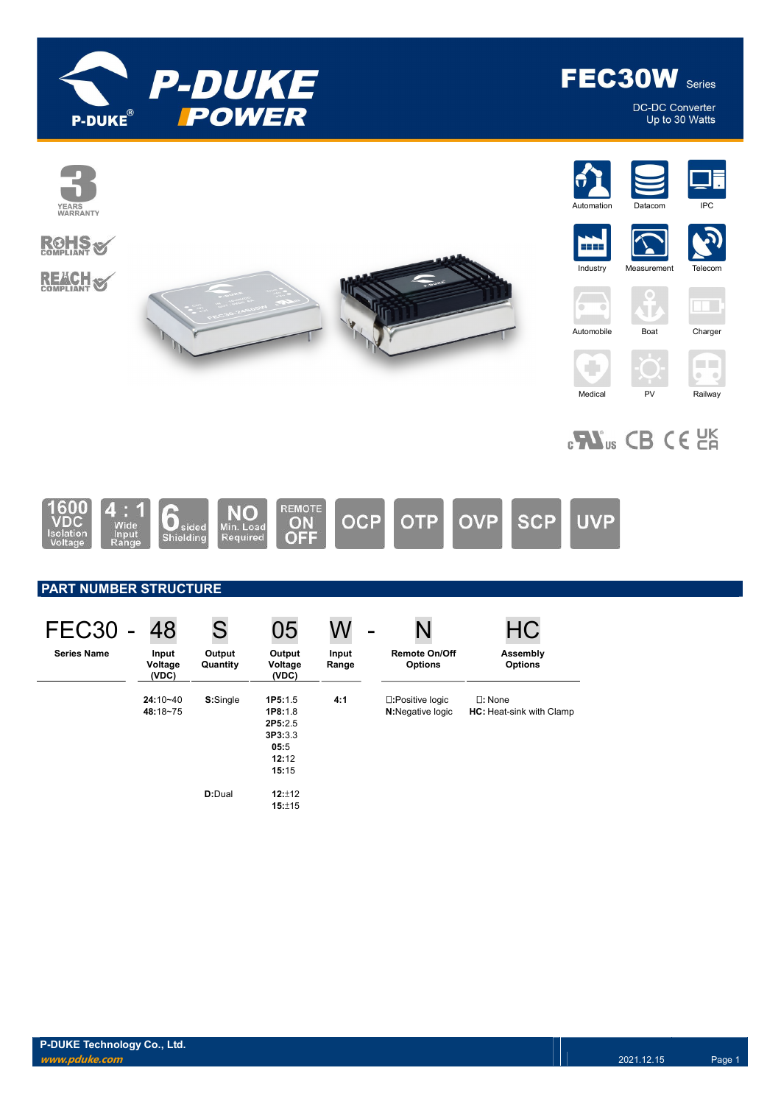

DC-DC Converter<br>Up to 30 Watts



| <b>FEC30</b>       | 48                        |                    | 05                                                                        |                | -                                      |                                                     |
|--------------------|---------------------------|--------------------|---------------------------------------------------------------------------|----------------|----------------------------------------|-----------------------------------------------------|
| <b>Series Name</b> | Input<br>Voltage<br>(VDC) | Output<br>Quantity | Output<br>Voltage<br>(VDC)                                                | Input<br>Range | <b>Remote On/Off</b><br><b>Options</b> | Assembly<br><b>Options</b>                          |
|                    | $24:10 - 40$<br>48:18~75  | S:Single           | 1P5:1.5<br><b>1P8:1.8</b><br>2P5:2.5<br>3P3:3.3<br>05:5<br>12:12<br>15:15 | 4:1            | □:Positive logic<br>N:Negative logic   | $\square$ : None<br><b>HC:</b> Heat-sink with Clamp |
|                    |                           | D:Dual             | 12:±12<br>15:±15                                                          |                |                                        |                                                     |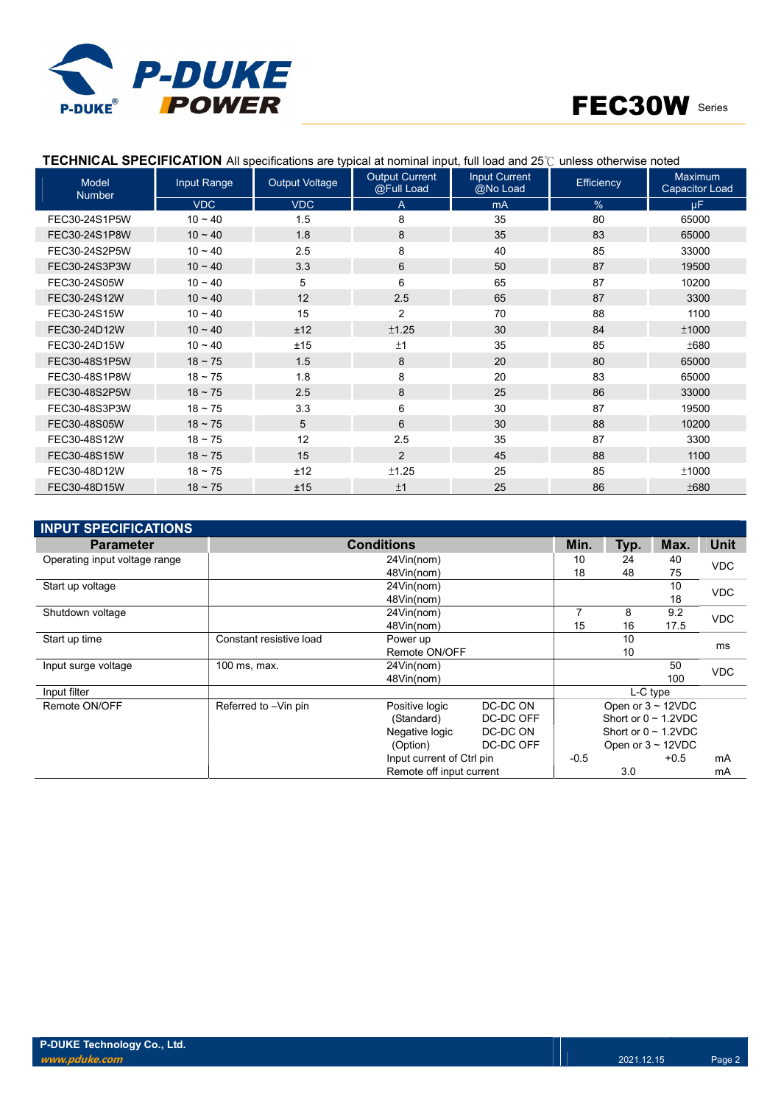

| Model<br><b>Number</b> | Input Range  | <b>Output Voltage</b> | <b>Output Current</b><br>@Full Load | <b>Input Current</b><br>@No Load | Efficiency | <b>Maximum</b><br><b>Capacitor Load</b> |
|------------------------|--------------|-----------------------|-------------------------------------|----------------------------------|------------|-----------------------------------------|
|                        | VDC          | <b>VDC</b>            | A                                   | mA                               | %          | uF.                                     |
| FEC30-24S1P5W          | $10 - 40$    | 1.5                   | 8                                   | 35                               | 80         | 65000                                   |
| FEC30-24S1P8W          | $10 - 40$    | 1.8                   | 8                                   | 35                               | 83         | 65000                                   |
| FEC30-24S2P5W          | $10 - 40$    | 2.5                   | 8                                   | 40                               | 85         | 33000                                   |
| FEC30-24S3P3W          | $10 - 40$    | 3.3                   | 6                                   | 50                               | 87         | 19500                                   |
| FEC30-24S05W           | $10 - 40$    | 5                     | 6                                   | 65                               | 87         | 10200                                   |
| FEC30-24S12W           | $10 - 40$    | 12                    | 2.5                                 | 65                               | 87         | 3300                                    |
| FEC30-24S15W           | $10 - 40$    | 15                    | $\overline{2}$                      | 70                               | 88         | 1100                                    |
| FEC30-24D12W           | $10 - 40$    | ±12                   | ±1.25                               | 30                               | 84         | ±1000                                   |
| FEC30-24D15W           | $10 - 40$    | ±15                   | ±1                                  | 35                               | 85         | ±680                                    |
| FEC30-48S1P5W          | $18 - 75$    | 1.5                   | 8                                   | 20                               | 80         | 65000                                   |
| FEC30-48S1P8W          | $18 - 75$    | 1.8                   | 8                                   | 20                               | 83         | 65000                                   |
| FEC30-48S2P5W          | $18 \sim 75$ | 2.5                   | 8                                   | 25                               | 86         | 33000                                   |
| FEC30-48S3P3W          | $18 - 75$    | 3.3                   | 6                                   | 30                               | 87         | 19500                                   |
| FEC30-48S05W           | $18 - 75$    | 5                     | 6                                   | 30                               | 88         | 10200                                   |
| FEC30-48S12W           | $18 - 75$    | 12                    | 2.5                                 | 35                               | 87         | 3300                                    |
| FEC30-48S15W           | $18 \sim 75$ | 15                    | $\overline{2}$                      | 45                               | 88         | 1100                                    |
| FEC30-48D12W           | $18 - 75$    | ±12                   | ±1.25                               | 25                               | 85         | ±1000                                   |
| FEC30-48D15W           | $18 - 75$    | ±15                   | ±1                                  | 25                               | 86         | ±680                                    |

### TECHNICAL SPECIFICATION All specifications are typical at nominal input, full load and 25℃ unless otherwise noted

| <b>INPUT SPECIFICATIONS</b>   |                         |                           |           |        |                         |                           |            |
|-------------------------------|-------------------------|---------------------------|-----------|--------|-------------------------|---------------------------|------------|
| <b>Parameter</b>              |                         | Min.                      | Typ.      | Max.   | <b>Unit</b>             |                           |            |
| Operating input voltage range |                         | 10                        | 24        | 40     | <b>VDC</b>              |                           |            |
|                               |                         | 48Vin(nom)                | 18        | 48     | 75                      |                           |            |
| Start up voltage              |                         | 24Vin(nom)                |           |        |                         | 10                        | <b>VDC</b> |
|                               |                         | 48Vin(nom)                |           |        |                         | 18                        |            |
| Shutdown voltage              |                         | 24Vin(nom)                |           | 7      | 8                       | 9.2                       | <b>VDC</b> |
|                               |                         | 48Vin(nom)                |           | 15     | 16                      | 17.5                      |            |
| Start up time                 | Constant resistive load | Power up                  |           |        |                         | ms                        |            |
|                               |                         | Remote ON/OFF             |           |        | 10                      |                           |            |
| Input surge voltage           | 100 ms, max.            | 24Vin(nom)                |           |        |                         | 50                        | <b>VDC</b> |
|                               |                         | 48Vin(nom)                |           |        |                         | 100                       |            |
| Input filter                  |                         |                           |           |        |                         | L-C type                  |            |
| Remote ON/OFF                 | Referred to -Vin pin    | Positive logic            | DC-DC ON  |        | Open or $3 \sim 12$ VDC |                           |            |
|                               |                         | (Standard)                | DC-DC OFF |        |                         | Short or $0 \sim 1.2$ VDC |            |
|                               |                         | Negative logic            | DC-DC ON  |        |                         | Short or $0 \sim 1.2$ VDC |            |
|                               |                         | (Option)                  | DC-DC OFF |        |                         | Open or $3 \sim 12$ VDC   |            |
|                               |                         | Input current of Ctrl pin |           | $-0.5$ |                         | $+0.5$                    | mA         |
|                               |                         | Remote off input current  |           |        | 3.0                     |                           | mA         |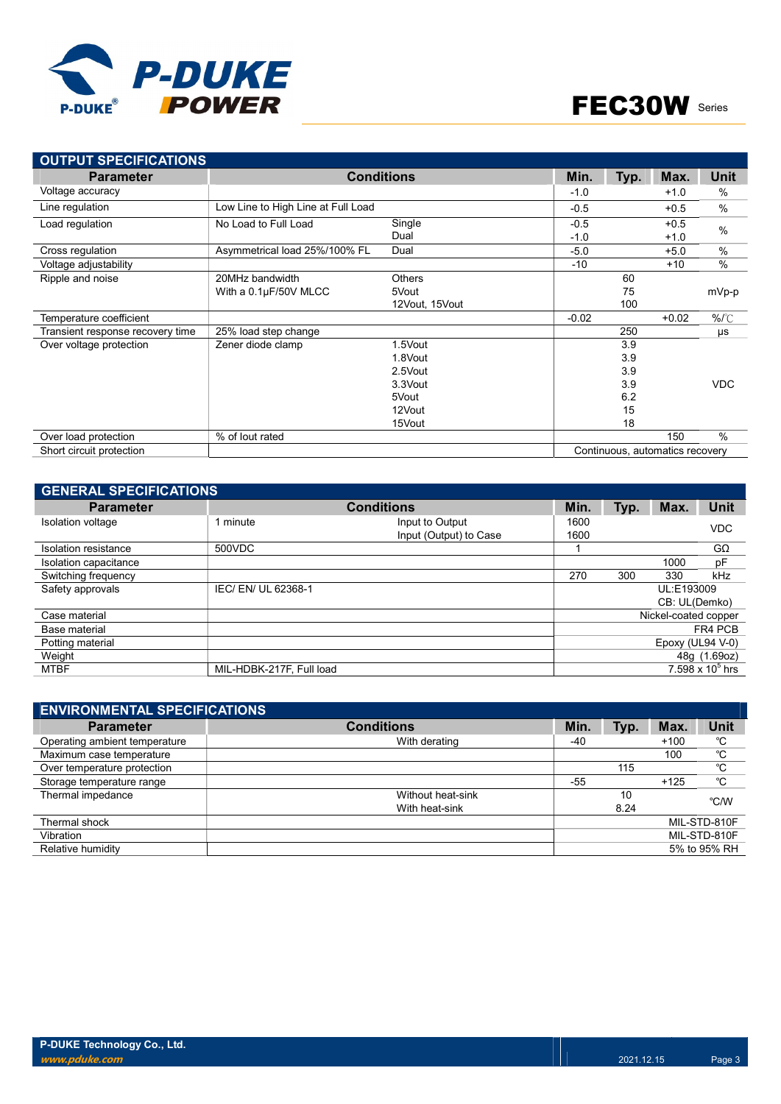



| <b>OUTPUT SPECIFICATIONS</b>     |                                    |                   |         |      |                                 |               |
|----------------------------------|------------------------------------|-------------------|---------|------|---------------------------------|---------------|
| <b>Parameter</b>                 |                                    | <b>Conditions</b> | Min.    | Typ. | Max.                            | Unit          |
| Voltage accuracy                 |                                    |                   | $-1.0$  |      | $+1.0$                          | $\%$          |
| Line regulation                  | Low Line to High Line at Full Load |                   | $-0.5$  |      | $+0.5$                          | $\frac{0}{0}$ |
| Load regulation                  | No Load to Full Load               | Single            | $-0.5$  |      | $+0.5$                          | $\frac{0}{0}$ |
|                                  |                                    | Dual              | $-1.0$  |      | $+1.0$                          |               |
| Cross regulation                 | Asymmetrical load 25%/100% FL      | Dual              | $-5.0$  |      | $+5.0$                          | %             |
| Voltage adjustability            |                                    |                   | $-10$   |      | $+10$                           | $\sqrt{0}$    |
| Ripple and noise                 | 20MHz bandwidth                    | Others            |         | 60   |                                 |               |
|                                  | With a 0.1µF/50V MLCC              | 5Vout             |         | 75   |                                 | mVp-p         |
|                                  |                                    | 12Vout, 15Vout    |         | 100  |                                 |               |
| Temperature coefficient          |                                    |                   | $-0.02$ |      | $+0.02$                         | %/°C          |
| Transient response recovery time | 25% load step change               |                   |         | 250  |                                 | μs            |
| Over voltage protection          | Zener diode clamp                  | 1.5Vout           |         | 3.9  |                                 |               |
|                                  |                                    | 1.8Vout           |         | 3.9  |                                 |               |
|                                  |                                    | 2.5Vout           |         | 3.9  |                                 |               |
|                                  |                                    | 3.3Vout           |         | 3.9  |                                 | <b>VDC</b>    |
|                                  |                                    | 5Vout             |         | 6.2  |                                 |               |
|                                  |                                    | 12Vout            |         | 15   |                                 |               |
|                                  |                                    | 15Vout            |         | 18   |                                 |               |
| Over load protection             | % of lout rated                    |                   |         |      | 150                             | $\%$          |
| Short circuit protection         |                                    |                   |         |      | Continuous, automatics recovery |               |

| <b>GENERAL SPECIFICATIONS</b> |                          |                                           |              |      |                      |                    |  |  |  |  |
|-------------------------------|--------------------------|-------------------------------------------|--------------|------|----------------------|--------------------|--|--|--|--|
| <b>Parameter</b>              | <b>Conditions</b>        | Min.                                      | Typ.         | Max. | <b>Unit</b>          |                    |  |  |  |  |
| <b>Isolation voltage</b>      | ∣ minute                 | Input to Output<br>Input (Output) to Case | 1600<br>1600 |      |                      | <b>VDC</b>         |  |  |  |  |
| <b>Isolation resistance</b>   | 500VDC                   |                                           |              |      |                      | $G\Omega$          |  |  |  |  |
| Isolation capacitance         |                          |                                           |              |      | 1000                 | pF                 |  |  |  |  |
| Switching frequency           |                          |                                           | 270          | 300  | 330                  | kHz                |  |  |  |  |
| Safety approvals              | IEC/EN/UL 62368-1        |                                           |              |      | UL:E193009           |                    |  |  |  |  |
|                               |                          |                                           |              |      | CB: UL(Demko)        |                    |  |  |  |  |
| Case material                 |                          |                                           |              |      | Nickel-coated copper |                    |  |  |  |  |
| Base material                 |                          |                                           |              |      |                      | FR4 PCB            |  |  |  |  |
| Potting material              |                          |                                           |              |      | Epoxy (UL94 V-0)     |                    |  |  |  |  |
| Weight                        |                          |                                           |              |      |                      | 48g (1.69oz)       |  |  |  |  |
| <b>MTBF</b>                   | MIL-HDBK-217F, Full load |                                           |              |      |                      | 7.598 x $10^5$ hrs |  |  |  |  |

| <b>ENVIRONMENTAL SPECIFICATIONS</b> |                   |       |      |        |              |
|-------------------------------------|-------------------|-------|------|--------|--------------|
| <b>Parameter</b>                    | <b>Conditions</b> | Min.  | Typ. | Max.   | Unit         |
| Operating ambient temperature       | With derating     | -40   |      | $+100$ | °C           |
| Maximum case temperature            |                   |       |      | 100    | °C           |
| Over temperature protection         |                   |       | 115  |        | °C           |
| Storage temperature range           |                   | $-55$ |      | $+125$ | °C           |
| Thermal impedance                   | Without heat-sink |       | 10   |        | °C/W         |
|                                     | With heat-sink    |       | 8.24 |        |              |
| Thermal shock                       |                   |       |      |        | MIL-STD-810F |
| Vibration                           |                   |       |      |        | MIL-STD-810F |
| Relative humidity                   |                   |       |      |        | 5% to 95% RH |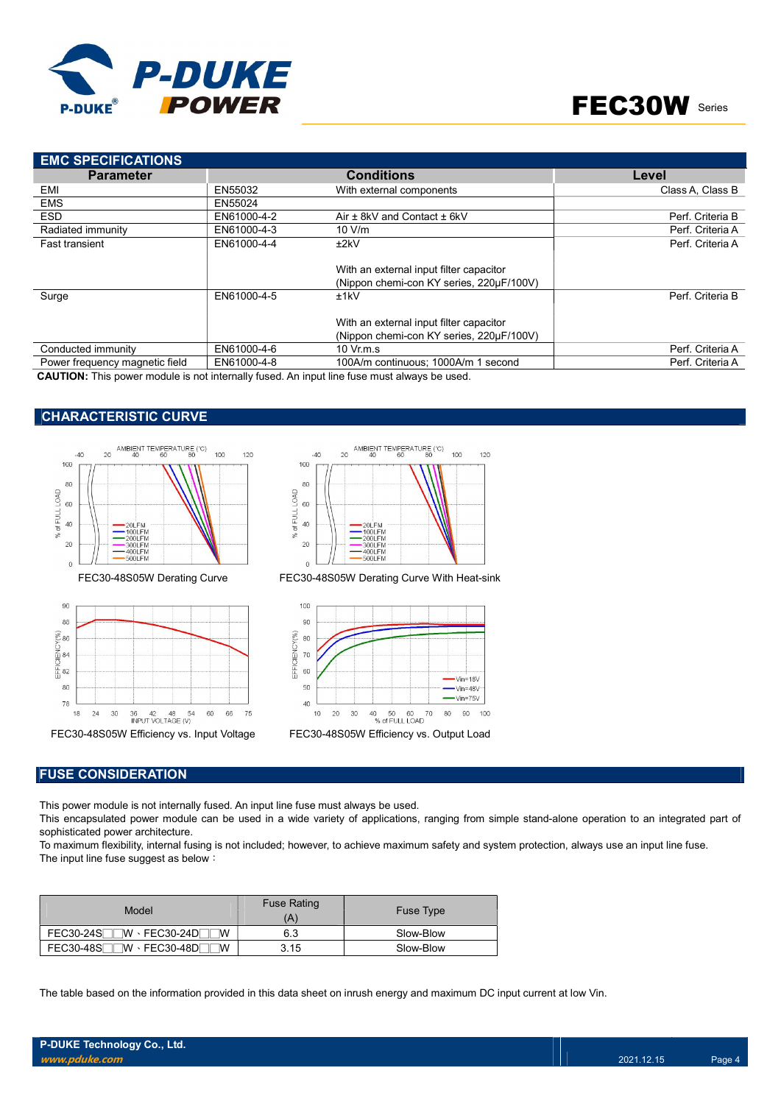



| <b>EMC SPECIFICATIONS</b>      |             |                                                                                     |                  |
|--------------------------------|-------------|-------------------------------------------------------------------------------------|------------------|
| <b>Parameter</b>               |             | <b>Conditions</b>                                                                   | Level            |
| EMI                            | EN55032     | With external components                                                            | Class A. Class B |
| <b>EMS</b>                     | EN55024     |                                                                                     |                  |
| <b>ESD</b>                     | EN61000-4-2 | Air ± 8kV and Contact ± 6kV                                                         | Perf. Criteria B |
| Radiated immunity              | EN61000-4-3 | 10 V/m                                                                              | Perf. Criteria A |
| Fast transient                 | EN61000-4-4 | ±2kV                                                                                | Perf. Criteria A |
|                                |             | With an external input filter capacitor<br>(Nippon chemi-con KY series, 220uF/100V) |                  |
| Surge                          | EN61000-4-5 | ±1kV                                                                                | Perf. Criteria B |
|                                |             | With an external input filter capacitor                                             |                  |
|                                |             | (Nippon chemi-con KY series, 220µF/100V)                                            |                  |
| Conducted immunity             | EN61000-4-6 | 10 Vr.m.s                                                                           | Perf. Criteria A |
| Power frequency magnetic field | EN61000-4-8 | 100A/m continuous: 1000A/m 1 second                                                 | Perf. Criteria A |

CAUTION: This power module is not internally fused. An input line fuse must always be used.

### CHARACTERISTIC CURVE







FEC30-48S05W Derating Curve FEC30-48S05W Derating Curve With Heat-sink



#### FUSE CONSIDERATION

This power module is not internally fused. An input line fuse must always be used.

This encapsulated power module can be used in a wide variety of applications, ranging from simple stand-alone operation to an integrated part of sophisticated power architecture.

To maximum flexibility, internal fusing is not included; however, to achieve maximum safety and system protection, always use an input line fuse. The input line fuse suggest as below:

| Model                                                 | <b>Fuse Rating</b><br>Ά | <b>Fuse Type</b> |
|-------------------------------------------------------|-------------------------|------------------|
| FEC30-24S <sub>UW</sub> FEC30-24D<br><b>W</b>         | 6.3                     | Slow-Blow        |
| $FEC30-48S$<br>$\neg$ W $\cdot$ FEC30-48D $\neg$<br>M | 3.15                    | Slow-Blow        |

The table based on the information provided in this data sheet on inrush energy and maximum DC input current at low Vin.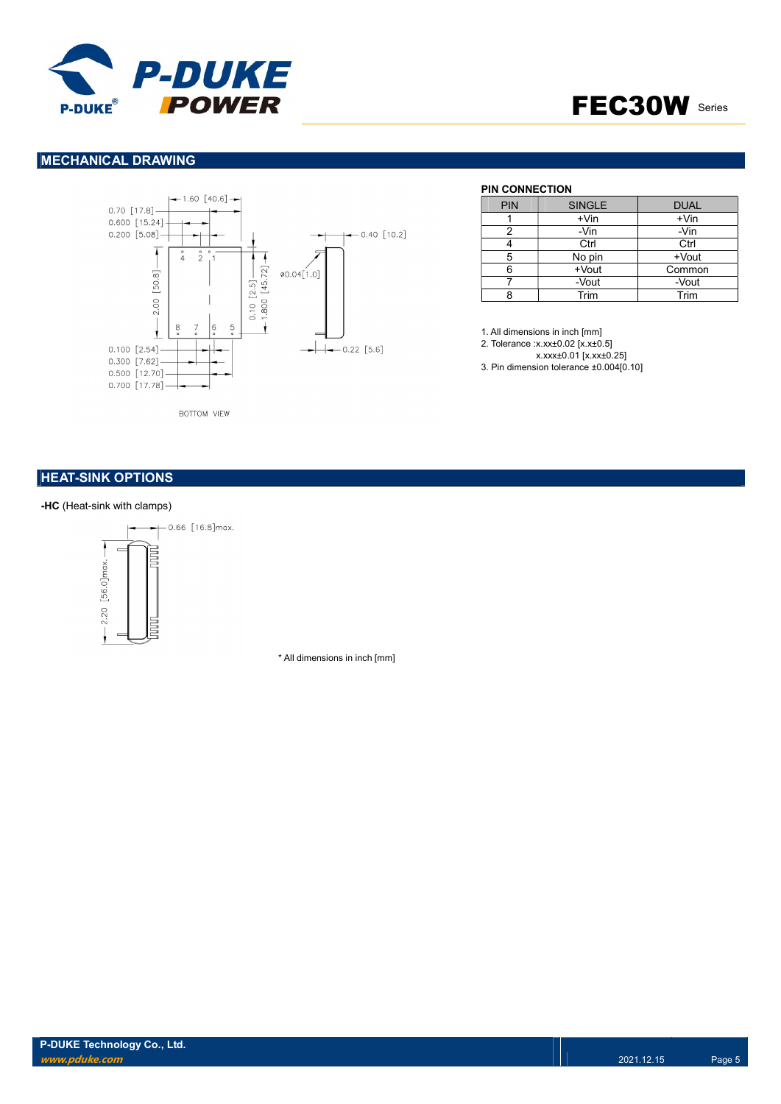

### MECHANICAL DRAWING



**BOTTOM VIEW** 

### **PIN CONNECTION**

| <b>PIN</b> | <b>SINGLE</b> | <b>DUAL</b> |
|------------|---------------|-------------|
|            | $+V$ in       | $+V$ in     |
|            | -Vin          | -Vin        |
|            | Ctrl          | Ctrl        |
| 5          | No pin        | +Vout       |
|            | +Vout         | Common      |
|            | -Vout         | -Vout       |
|            | Trim          | Trim        |

1. All dimensions in inch [mm] 2. Tolerance :x.xx±0.02 [x.x±0.5] x.xxx±0.01 [x.xx±0.25]

3. Pin dimension tolerance ±0.004[0.10]

### **HEAT-SINK OPTIONS**

#### -HC (Heat-sink with clamps)



\* All dimensions in inch [mm]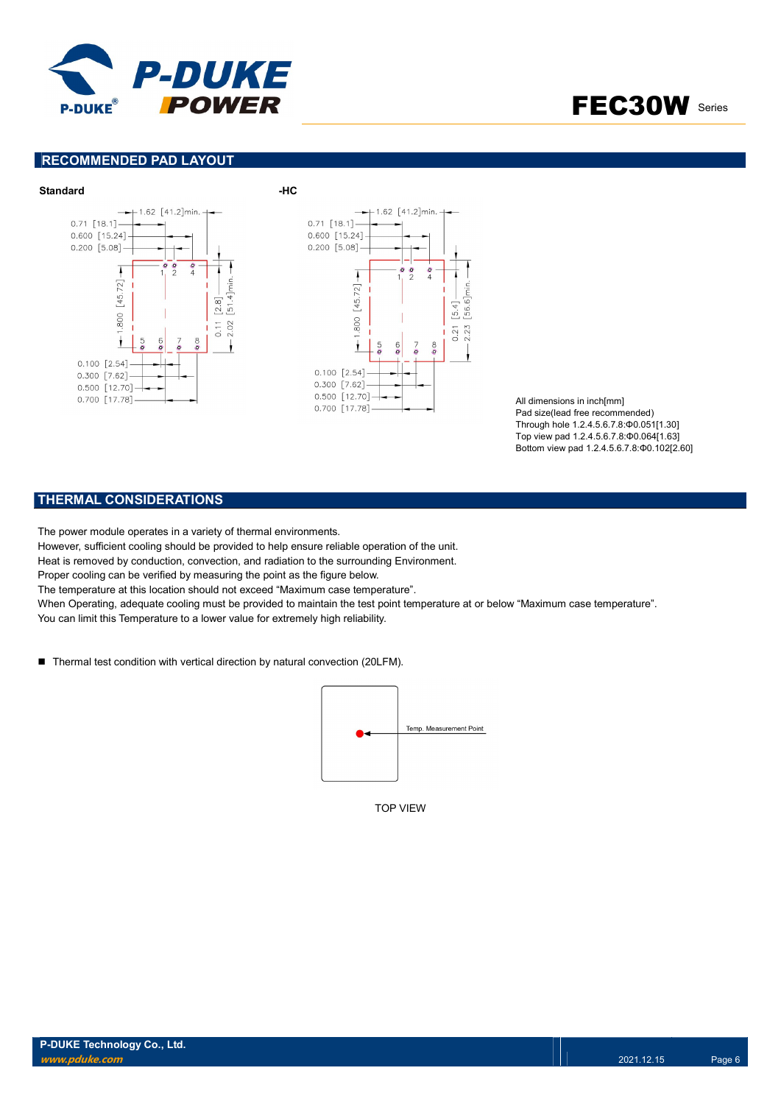

### RECOMMENDED PAD LAYOUT



All dimensions in inch[mm] Pad size(lead free recommended) Through hole 1.2.4.5.6.7.8:Φ0.051[1.30] Top view pad 1.2.4.5.6.7.8:Φ0.064[1.63] Bottom view pad 1.2.4.5.6.7.8:Φ0.102[2.60]

### THERMAL CONSIDERATIONS

The power module operates in a variety of thermal environments.

However, sufficient cooling should be provided to help ensure reliable operation of the unit.

Heat is removed by conduction, convection, and radiation to the surrounding Environment.

Proper cooling can be verified by measuring the point as the figure below.

The temperature at this location should not exceed "Maximum case temperature".

When Operating, adequate cooling must be provided to maintain the test point temperature at or below "Maximum case temperature". You can limit this Temperature to a lower value for extremely high reliability.

■ Thermal test condition with vertical direction by natural convection (20LFM).



TOP VIEW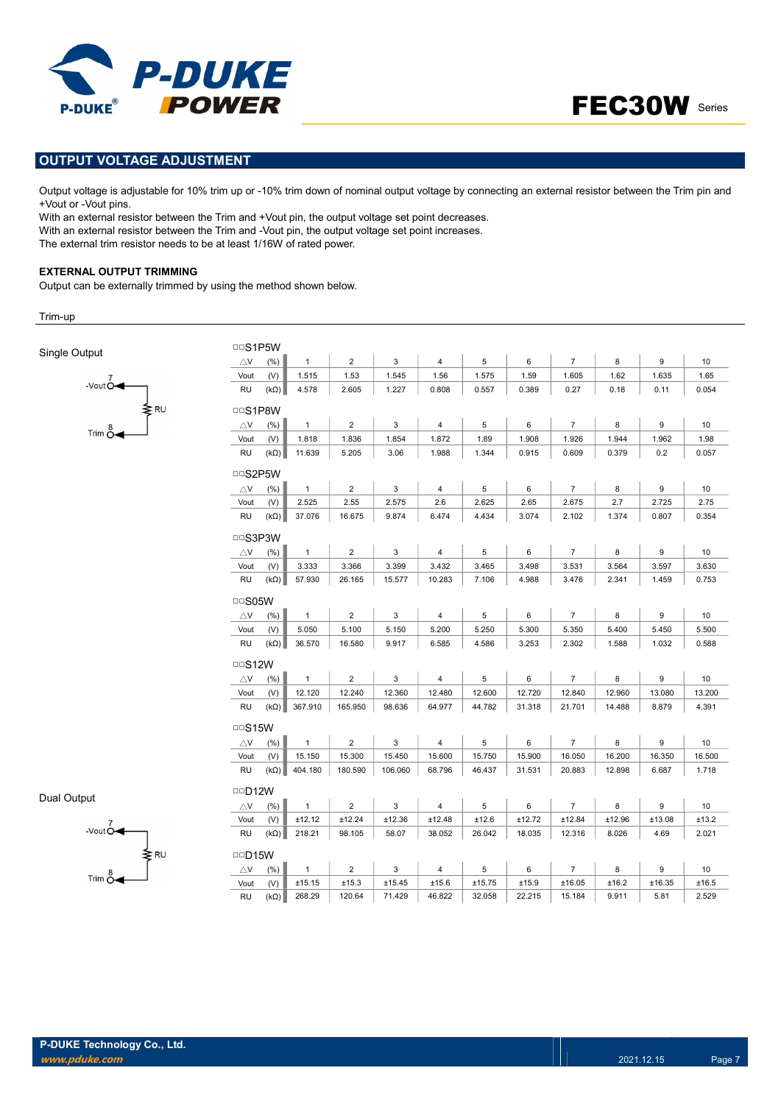



### OUTPUT VOLTAGE ADJUSTMENT

Output voltage is adjustable for 10% trim up or -10% trim down of nominal output voltage by connecting an external resistor between the Trim pin and +Vout or -Vout pins.

With an external resistor between the Trim and +Vout pin, the output voltage set point decreases. With an external resistor between the Trim and -Vout pin, the output voltage set point increases. The external trim resistor needs to be at least 1/16W of rated power.

#### EXTERNAL OUTPUT TRIMMING

 $-$ Vout  $\overline{O}$ 

 $Trim \overset{8}{\circ}$ 

Output can be externally trimmed by using the method shown below.

Trim-up

Single Output

| $\triangle$ V  | (% )        | $\mathbf{1}$ | $\overline{2}$ | 3       | $\overline{4}$ | 5      | 6      | $\overline{7}$ | 8      | 9      |        |
|----------------|-------------|--------------|----------------|---------|----------------|--------|--------|----------------|--------|--------|--------|
| Vout           | (V)         | 1.515        | 1.53           | 1.545   | 1.56           | 1.575  | 1.59   | 1.605          | 1.62   | 1.635  | 1.65   |
| <b>RU</b>      | $(k\Omega)$ | 4.578        | 2.605          | 1.227   | 0.808          | 0.557  | 0.389  | 0.27           | 0.18   | 0.11   | 0.054  |
| <b>DDS1P8W</b> |             |              |                |         |                |        |        |                |        |        |        |
| $\triangle$ V  | (%)         | $\mathbf{1}$ | $\overline{2}$ | 3       | 4              | 5      | 6      | $\overline{7}$ | 8      | 9      |        |
| Vout           | (V)         | 1.818        | 1.836          | 1.854   | 1.872          | 1.89   | 1.908  | 1.926          | 1.944  | 1.962  | 1.98   |
| RU             | $(k\Omega)$ | 11.639       | 5.205          | 3.06    | 1.988          | 1.344  | 0.915  | 0.609          | 0.379  | 0.2    | 0.057  |
| <b>DDS2P5W</b> |             |              |                |         |                |        |        |                |        |        |        |
| $\triangle$ V  | (% )        | $\mathbf{1}$ | $\overline{2}$ | 3       | 4              | 5      | 6      | $\overline{7}$ | 8      | 9      |        |
| Vout           | (V)         | 2.525        | 2.55           | 2.575   | 2.6            | 2.625  | 2.65   | 2.675          | 2.7    | 2.725  | 2.75   |
| <b>RU</b>      | $(k\Omega)$ | 37.076       | 16.675         | 9.874   | 6.474          | 4.434  | 3.074  | 2.102          | 1.374  | 0.807  | 0.354  |
| <b>DDS3P3W</b> |             |              |                |         |                |        |        |                |        |        |        |
| $\triangle V$  | (%)         | $\mathbf{1}$ | $\overline{2}$ | 3       | 4              | 5      | 6      | $\overline{7}$ | 8      | 9      |        |
| Vout           | (V)         | 3.333        | 3.366          | 3.399   | 3.432          | 3.465  | 3.498  | 3.531          | 3.564  | 3.597  | 3.630  |
| <b>RU</b>      | $(k\Omega)$ | 57.930       | 26.165         | 15.577  | 10.283         | 7.106  | 4.988  | 3.476          | 2.341  | 1.459  | 0.753  |
| □□S05W         |             |              |                |         |                |        |        |                |        |        |        |
| $\triangle$ V  | (% )        | $\mathbf{1}$ | $\overline{2}$ | 3       | $\overline{4}$ | 5      | 6      | $\overline{7}$ | 8      | 9      |        |
| Vout           | (V)         | 5.050        | 5.100          | 5.150   | 5.200          | 5.250  | 5.300  | 5.350          | 5.400  | 5.450  | 5.500  |
| <b>RU</b>      | $(k\Omega)$ | 36.570       | 16.580         | 9.917   | 6.585          | 4.586  | 3.253  | 2.302          | 1.588  | 1.032  | 0.588  |
| $\Box$ S12W    |             |              |                |         |                |        |        |                |        |        |        |
| $\triangle$ V  | $(\% )$     | $\mathbf{1}$ | $\overline{2}$ | 3       | 4              | 5      | 6      | $\overline{7}$ | 8      | 9      |        |
| Vout           | (V)         | 12.120       | 12.240         | 12.360  | 12.480         | 12.600 | 12.720 | 12.840         | 12.960 | 13.080 | 13.200 |
| <b>RU</b>      | $(k\Omega)$ | 367.910      | 165.950        | 98.636  | 64.977         | 44.782 | 31.318 | 21.701         | 14.488 | 8.879  | 4.391  |
| $\Box$ S15W    |             |              |                |         |                |        |        |                |        |        |        |
| $\triangle$ V  | (% )        | $\mathbf{1}$ | $\overline{c}$ | 3       | 4              | 5      | 6      | $\overline{7}$ | 8      | 9      |        |
| Vout           | (V)         | 15.150       | 15.300         | 15.450  | 15.600         | 15.750 | 15.900 | 16.050         | 16.200 | 16.350 | 16.500 |
| RU             | $(k\Omega)$ | 404.180      | 180.590        | 106.060 | 68.796         | 46.437 | 31.531 | 20.883         | 12.898 | 6.687  | 1.718  |
| $\Box$ D12W    |             |              |                |         |                |        |        |                |        |        |        |
| $\triangle$ V  | (%)         | $\mathbf{1}$ | $\overline{2}$ | 3       | 4              | 5      | 6      | $\overline{7}$ | 8      | 9      |        |
| Vout           | (V)         | ±12.12       | ±12.24         | ±12.36  | ±12.48         | ±12.6  | ±12.72 | ±12.84         | ±12.96 | ±13.08 | ±13.2  |
| RU             | $(k\Omega)$ | 218.21       | 98.105         | 58.07   | 38.052         | 26.042 | 18.035 | 12.316         | 8.026  | 4.69   | 2.021  |
| $\Box$ D15W    |             |              |                |         |                |        |        |                |        |        |        |
| $\triangle$ V  | (% )        | $\mathbf{1}$ | $\overline{c}$ | 3       | 4              | 5      | 6      | $\overline{7}$ | 8      | 9      |        |
|                | (V)         | ±15.15       | ±15.3          | ±15.45  | ±15.6          | ±15.75 | ±15.9  | ±16.05         | ±16.2  | ±16.35 | ±16.5  |
| Vout           |             |              |                |         |                |        |        |                |        |        |        |

Dual Output